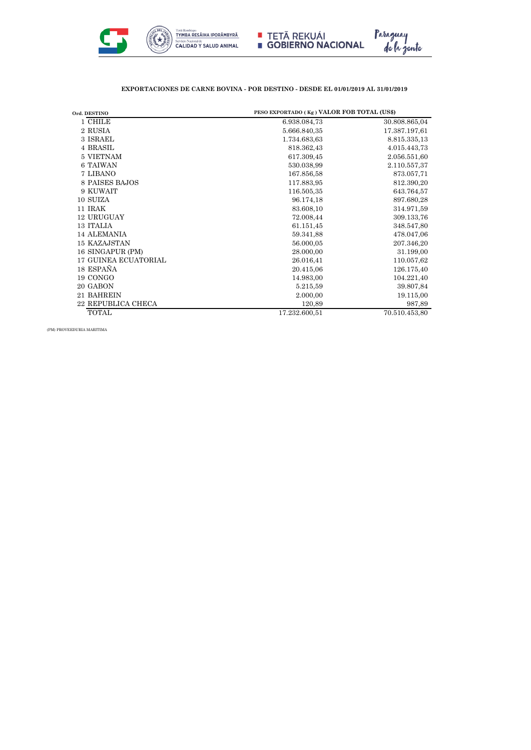

## **EXPORTACIONES DE CARNE BOVINA - POR DESTINO - DESDE EL 01/01/2019 AL 31/01/2019**

| PESO EXPORTADO (Kg) VALOR FOB TOTAL (US\$)<br>Ord. DESTINO |               |               |  |
|------------------------------------------------------------|---------------|---------------|--|
| 1 CHILE                                                    | 6.938.084,73  | 30.808.865,04 |  |
| 2 RUSIA                                                    | 5.666.840,35  | 17.387.197,61 |  |
| 3 ISRAEL                                                   | 1.734.683,63  | 8.815.335,13  |  |
| 4 BRASIL                                                   | 818.362,43    | 4.015.443,73  |  |
| 5 VIETNAM                                                  | 617.309,45    | 2.056.551,60  |  |
| <b>6 TAIWAN</b>                                            | 530.038,99    | 2.110.557,37  |  |
| 7 LIBANO                                                   | 167.856,58    | 873.057,71    |  |
| 8 PAISES BAJOS                                             | 117.883,95    | 812.390,20    |  |
| 9 KUWAIT                                                   | 116.505,35    | 643.764,57    |  |
| 10 SUIZA                                                   | 96.174,18     | 897.680,28    |  |
| 11 IRAK                                                    | 83.608,10     | 314.971,59    |  |
| 12 URUGUAY                                                 | 72.008,44     | 309.133,76    |  |
| 13 ITALIA                                                  | 61.151,45     | 348.547,80    |  |
| <b>14 ALEMANIA</b>                                         | 59.341,88     | 478.047,06    |  |
| 15 KAZAJSTAN                                               | 56.000,05     | 207.346,20    |  |
| 16 SINGAPUR (PM)                                           | 28.000,00     | 31.199,00     |  |
| <b>17 GUINEA ECUATORIAL</b>                                | 26.016,41     | 110.057,62    |  |
| 18 ESPAÑA                                                  | 20.415,06     | 126.175,40    |  |
| 19 CONGO                                                   | 14.983,00     | 104.221,40    |  |
| 20 GABON                                                   | 5.215,59      | 39.807,84     |  |
| 21 BAHREIN                                                 | 2.000,00      | 19.115,00     |  |
| <b>22 REPUBLICA CHECA</b>                                  | 120,89        | 987,89        |  |
| <b>TOTAL</b>                                               | 17.232.600.51 | 70.510.453,80 |  |

(PM) PROVEEDURIA MARITIMA